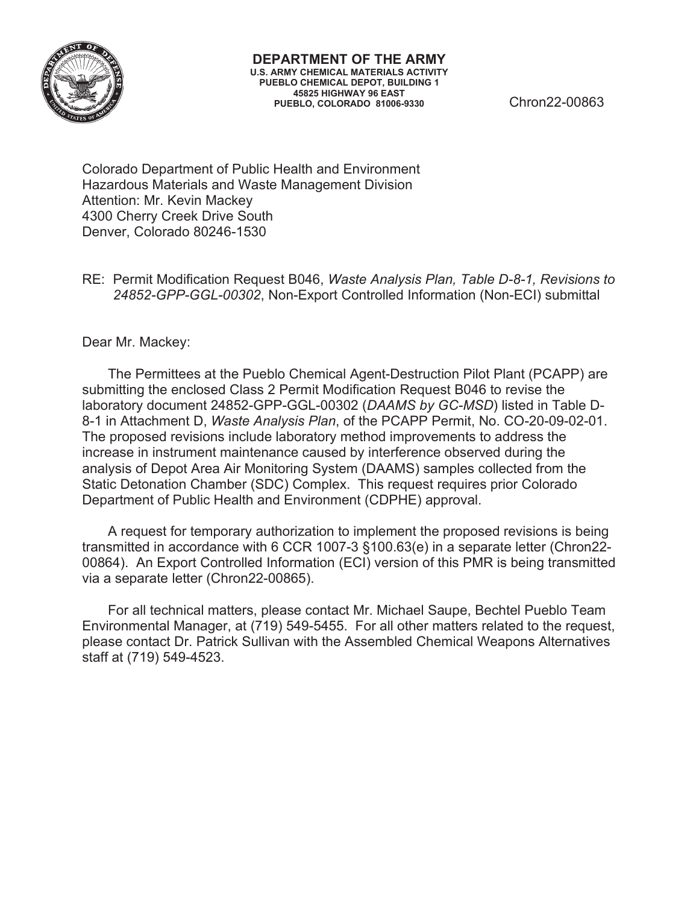

Colorado Department of Public Health and Environment Hazardous Materials and Waste Management Division Attention: Mr. Kevin Mackey 4300 Cherry Creek Drive South Denver, Colorado 80246-1530

RE: Permit Modification Request B046, *Waste Analysis Plan, Table D-8-1, Revisions to 24852-GPP-GGL-00302*, Non-Export Controlled Information (Non-ECI) submittal

Dear Mr. Mackey:

The Permittees at the Pueblo Chemical Agent-Destruction Pilot Plant (PCAPP) are submitting the enclosed Class 2 Permit Modification Request B046 to revise the laboratory document 24852-GPP-GGL-00302 (*DAAMS by GC-MSD*) listed in Table D-8-1 in Attachment D, *Waste Analysis Plan*, of the PCAPP Permit, No. CO-20-09-02-01. The proposed revisions include laboratory method improvements to address the increase in instrument maintenance caused by interference observed during the analysis of Depot Area Air Monitoring System (DAAMS) samples collected from the Static Detonation Chamber (SDC) Complex. This request requires prior Colorado Department of Public Health and Environment (CDPHE) approval.

A request for temporary authorization to implement the proposed revisions is being transmitted in accordance with 6 CCR 1007-3 §100.63(e) in a separate letter (Chron22- 00864). An Export Controlled Information (ECI) version of this PMR is being transmitted via a separate letter (Chron22-00865).

For all technical matters, please contact Mr. Michael Saupe, Bechtel Pueblo Team Environmental Manager, at (719) 549-5455. For all other matters related to the request, please contact Dr. Patrick Sullivan with the Assembled Chemical Weapons Alternatives staff at (719) 549-4523.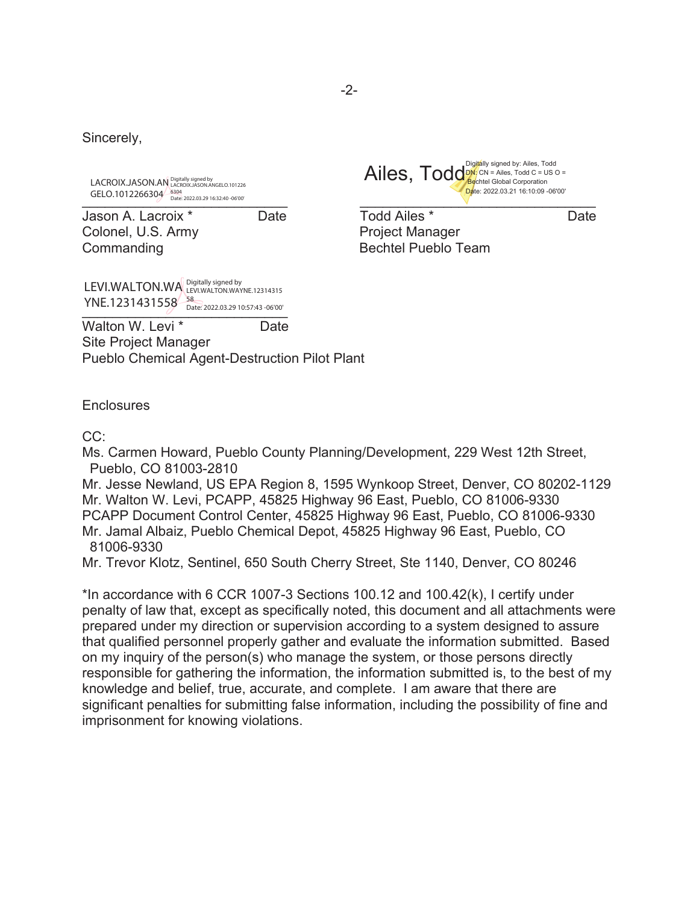Sincerely,

LACROIX.JASON.AN Digitally signed by<br>LACROIX.JASON.AN LACROIX.JASON.ANGELO.101226

Jason A. Lacroix \* Date Todd Ailes \* Date Colonel, U.S. Army **Project Manager** Commanding **Bechtel Pueblo Team** 

YNE.1231431558 Betr. 2022.03.29 10:57:43 -06'00' LEVI.WALTON.WA Digitally signed by<br>LEVI.WALTON.WA LEVI.WALTON.WAYNE.12314315



Walton W. Levi<sup>\*</sup> Date Site Project Manager Pueblo Chemical Agent-Destruction Pilot Plant

**Enclosures** 

#### CC:

Ms. Carmen Howard, Pueblo County Planning/Development, 229 West 12th Street, Pueblo, CO 81003-2810

Mr. Jesse Newland, US EPA Region 8, 1595 Wynkoop Street, Denver, CO 80202-1129 Mr. Walton W. Levi, PCAPP, 45825 Highway 96 East, Pueblo, CO 81006-9330 PCAPP Document Control Center, 45825 Highway 96 East, Pueblo, CO 81006-9330 Mr. Jamal Albaiz, Pueblo Chemical Depot, 45825 Highway 96 East, Pueblo, CO 81006-9330

Mr. Trevor Klotz, Sentinel, 650 South Cherry Street, Ste 1140, Denver, CO 80246

\*In accordance with 6 CCR 1007-3 Sections 100.12 and 100.42(k), I certify under penalty of law that, except as specifically noted, this document and all attachments were prepared under my direction or supervision according to a system designed to assure that qualified personnel properly gather and evaluate the information submitted. Based on my inquiry of the person(s) who manage the system, or those persons directly responsible for gathering the information, the information submitted is, to the best of my knowledge and belief, true, accurate, and complete. I am aware that there are significant penalties for submitting false information, including the possibility of fine and imprisonment for knowing violations.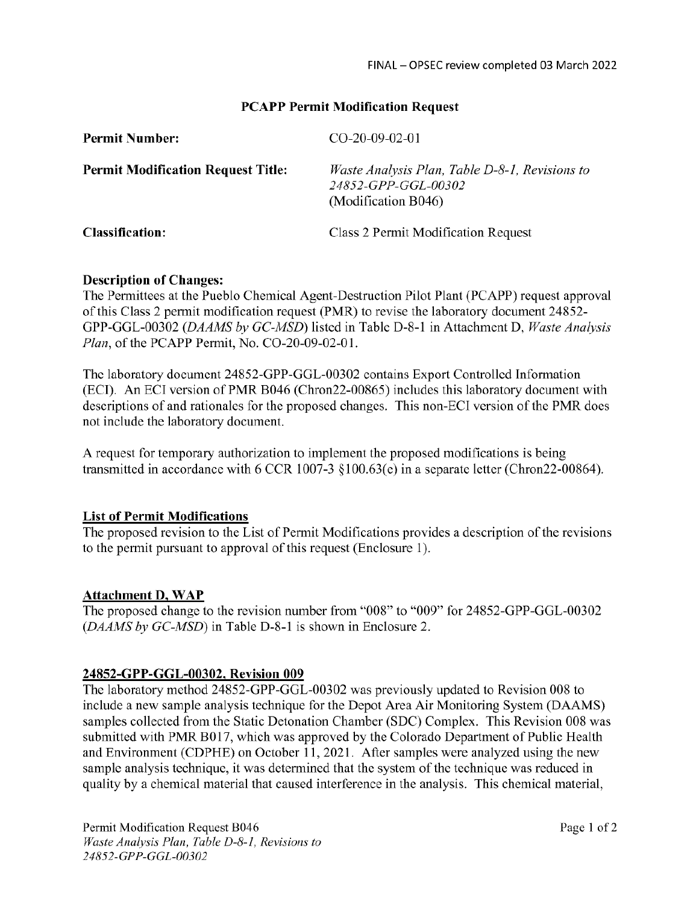#### **PCAPP Permit Modification Request**

| <b>Permit Number:</b>                     | $CO-20-09-02-01$                                                                             |
|-------------------------------------------|----------------------------------------------------------------------------------------------|
| <b>Permit Modification Request Title:</b> | Waste Analysis Plan, Table D-8-1, Revisions to<br>24852-GPP-GGL-00302<br>(Modification B046) |
| <b>Classification:</b>                    | Class 2 Permit Modification Request                                                          |

#### **Description of Changes:**

The Permittees at the Pueblo Chemical Agent-Destruction Pilot Plant (PCAPP) request approval of this Class 2 permit modification request (PMR) to revise the laboratory document 24852-GPP-GGL-00302 (DAAMS by GC-MSD) listed in Table D-8-1 in Attachment D, Waste Analysis Plan, of the PCAPP Permit, No. CO-20-09-02-01.

The laboratory document 24852-GPP-GGL-00302 contains Export Controlled Information (ECI). An ECI version of PMR B046 (Chron22-00865) includes this laboratory document with descriptions of and rationales for the proposed changes. This non-ECI version of the PMR does not include the laboratory document.

A request for temporary authorization to implement the proposed modifications is being transmitted in accordance with 6 CCR 1007-3  $\S100.63(e)$  in a separate letter (Chron22-00864).

#### **List of Permit Modifications**

The proposed revision to the List of Permit Modifications provides a description of the revisions to the permit pursuant to approval of this request (Enclosure 1).

#### **Attachment D, WAP**

The proposed change to the revision number from "008" to "009" for 24852-GPP-GGL-00302 (DAAMS by GC-MSD) in Table D-8-1 is shown in Enclosure 2.

#### 24852-GPP-GGL-00302, Revision 009

The laboratory method 24852-GPP-GGL-00302 was previously updated to Revision 008 to include a new sample analysis technique for the Depot Area Air Monitoring System (DAAMS) samples collected from the Static Detonation Chamber (SDC) Complex. This Revision 008 was submitted with PMR B017, which was approved by the Colorado Department of Public Health and Environment (CDPHE) on October 11, 2021. After samples were analyzed using the new sample analysis technique, it was determined that the system of the technique was reduced in quality by a chemical material that caused interference in the analysis. This chemical material,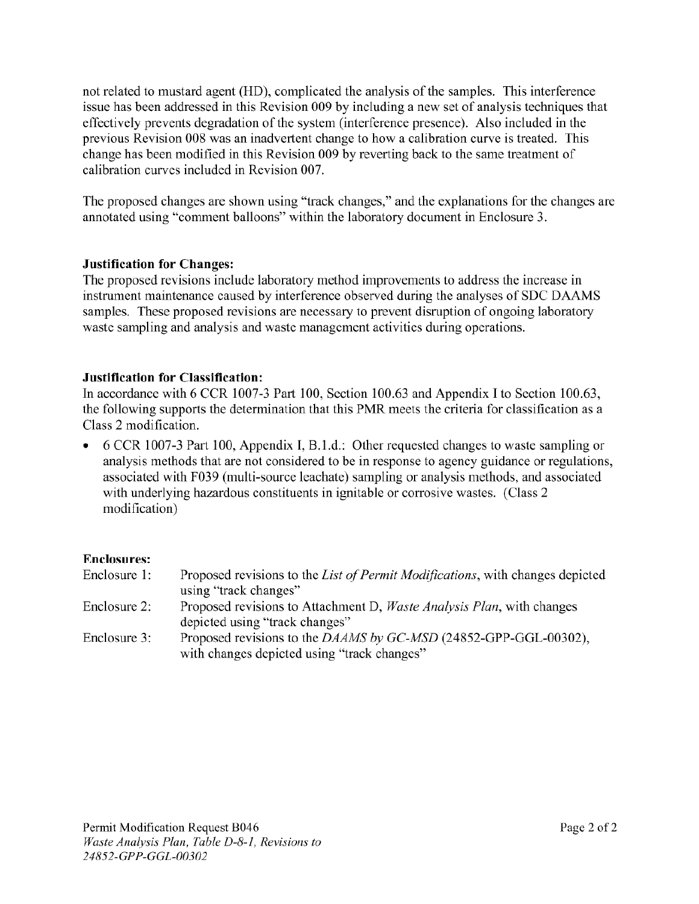not related to mustard agent (HD), complicated the analysis of the samples. This interference issue has been addressed in this Revision 009 by including a new set of analysis techniques that effectively prevents degradation of the system (interference presence). Also included in the previous Revision 008 was an inadvertent change to how a calibration curve is treated. This change has been modified in this Revision 009 by reverting back to the same treatment of calibration curves included in Revision 007.

The proposed changes are shown using "track changes," and the explanations for the changes are annotated using "comment balloons" within the laboratory document in Enclosure 3.

## **Justification for Changes:**

The proposed revisions include laboratory method improvements to address the increase in instrument maintenance caused by interference observed during the analyses of SDC DAAMS samples. These proposed revisions are necessary to prevent disruption of ongoing laboratory waste sampling and analysis and waste management activities during operations.

#### **Justification for Classification:**

In accordance with 6 CCR 1007-3 Part 100, Section 100.63 and Appendix I to Section 100.63, the following supports the determination that this PMR meets the criteria for classification as a Class 2 modification.

6 CCR 1007-3 Part 100, Appendix I, B.1.d.: Other requested changes to waste sampling or analysis methods that are not considered to be in response to agency guidance or regulations, associated with F039 (multi-source leachate) sampling or analysis methods, and associated with underlying hazardous constituents in ignitable or corrosive wastes. (Class 2 modification)

#### **Enclosures:**

| Enclosure 1: | Proposed revisions to the List of Permit Modifications, with changes depicted |
|--------------|-------------------------------------------------------------------------------|
|              | using "track changes"                                                         |
| Enclosure 2: | Proposed revisions to Attachment D, <i>Waste Analysis Plan</i> , with changes |
|              | depicted using "track changes"                                                |
| Enclosure 3: | Proposed revisions to the DAAMS by GC-MSD (24852-GPP-GGL-00302),              |
|              | with changes depicted using "track changes"                                   |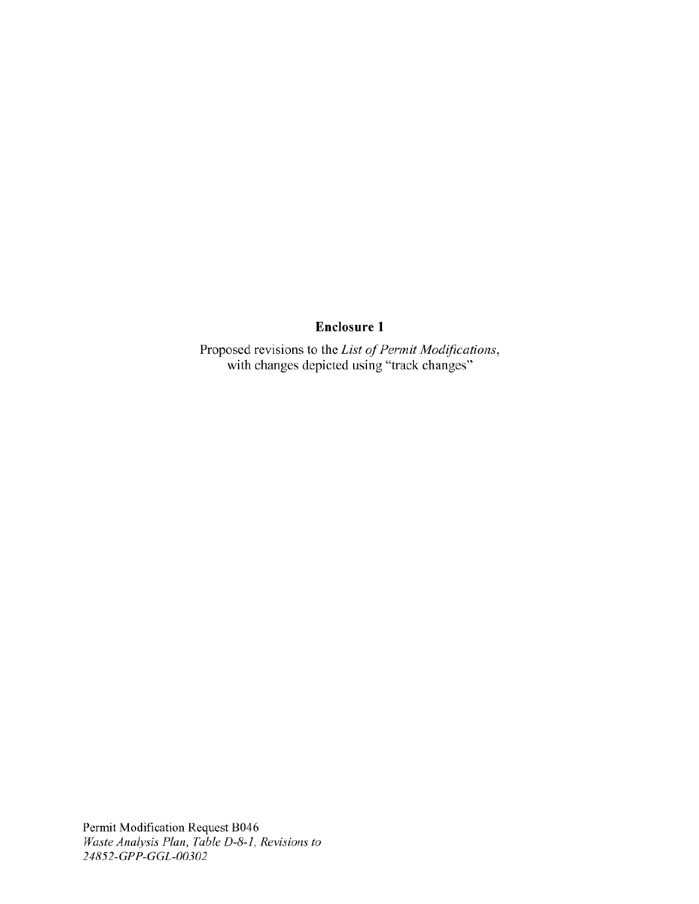# **Enclosure 1**

Proposed revisions to the List of Permit Modifications,<br>with changes depicted using "track changes"

Permit Modification Request B046<br>Waste Analysis Plan, Table D-8-1, Revisions to 24852-GPP-GGL-00302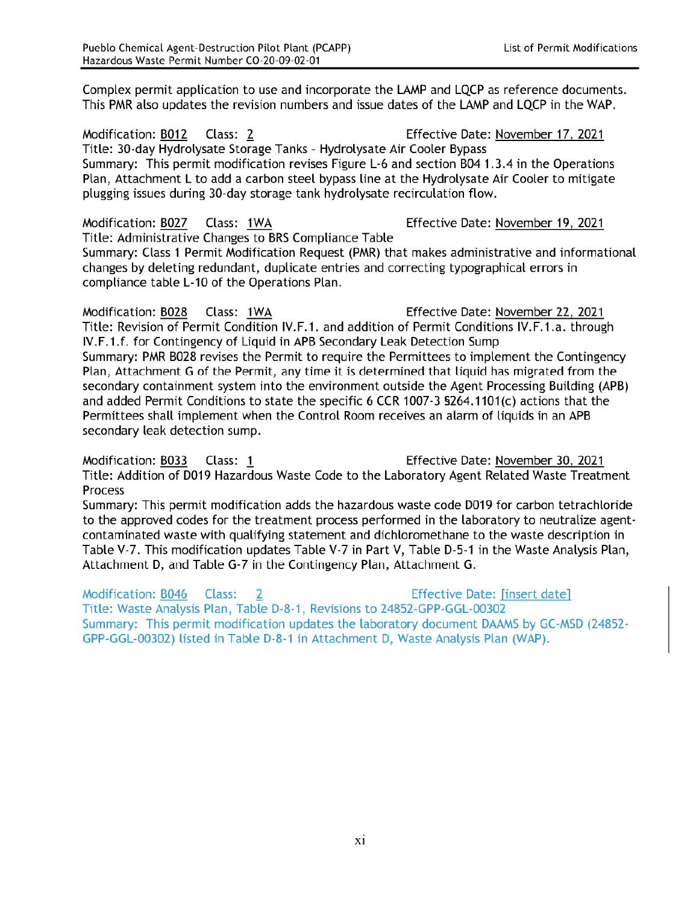Complex permit application to use and incorporate the LAMP and LQCP as reference documents. This PMR also updates the revision numbers and issue dates of the LAMP and LQCP in the WAP.

Modification: B012 Class: 2 Effective Date: November 17, 2021 Title: 30-day Hydrolysate Storage Tanks - Hydrolysate Air Cooler Bypass Summary: This permit modification revises Figure L-6 and section B04 1.3.4 in the Operations Plan, Attachment L to add a carbon steel bypass line at the Hydrolysate Air Cooler to mitigate plugging issues during 30-day storage tank hydrolysate recirculation flow.

Modification: B027 Class: 1WA Effective Date: November 19, 2021 Title: Administrative Changes to BRS Compliance Table Summary: Class 1 Permit Modification Request (PMR) that makes administrative and informational changes by deleting redundant, duplicate entries and correcting typographical errors in compliance table L-10 of the Operations Plan.

Modification: B028 Class: 1WA Effective Date: November 22, 2021 Title: Revision of Permit Condition IV.F.1. and addition of Permit Conditions IV.F.1.a. through IV.F.1.f. for Contingency of Liquid in APB Secondary Leak Detection Sump Summary: PMR B028 revises the Permit to require the Permittees to implement the Contingency Plan, Attachment G of the Permit, any time it is determined that liquid has migrated from the secondary containment system into the environment outside the Agent Processing Building (APB) and added Permit Conditions to state the specific 6 CCR 1007-3 \$264.1101(c) actions that the Permittees shall implement when the Control Room receives an alarm of liquids in an APB secondary leak detection sump.

Effective Date: November 30, 2021 Modification: B033 Class: 1 Title: Addition of D019 Hazardous Waste Code to the Laboratory Agent Related Waste Treatment Process

Summary: This permit modification adds the hazardous waste code D019 for carbon tetrachloride to the approved codes for the treatment process performed in the laboratory to neutralize agentcontaminated waste with qualifying statement and dichloromethane to the waste description in Table V-7. This modification updates Table V-7 in Part V, Table D-5-1 in the Waste Analysis Plan, Attachment D, and Table G-7 in the Contingency Plan, Attachment G.

Modification: B046 Class: **Effective Date: [insert date]**  $\overline{2}$ Title: Waste Analysis Plan, Table D-8-1, Revisions to 24852-GPP-GGL-00302 Summary: This permit modification updates the laboratory document DAAMS by GC-MSD (24852-GPP-GGL-00302) listed in Table D-8-1 in Attachment D, Waste Analysis Plan (WAP).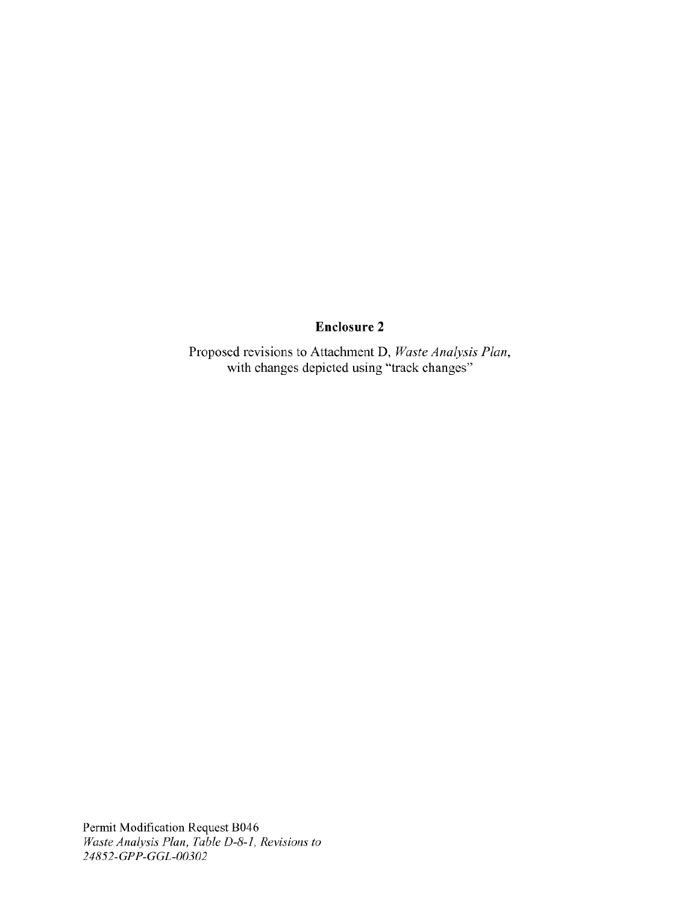# **Enclosure 2**

Proposed revisions to Attachment D, Waste Analysis Plan, with changes depicted using "track changes"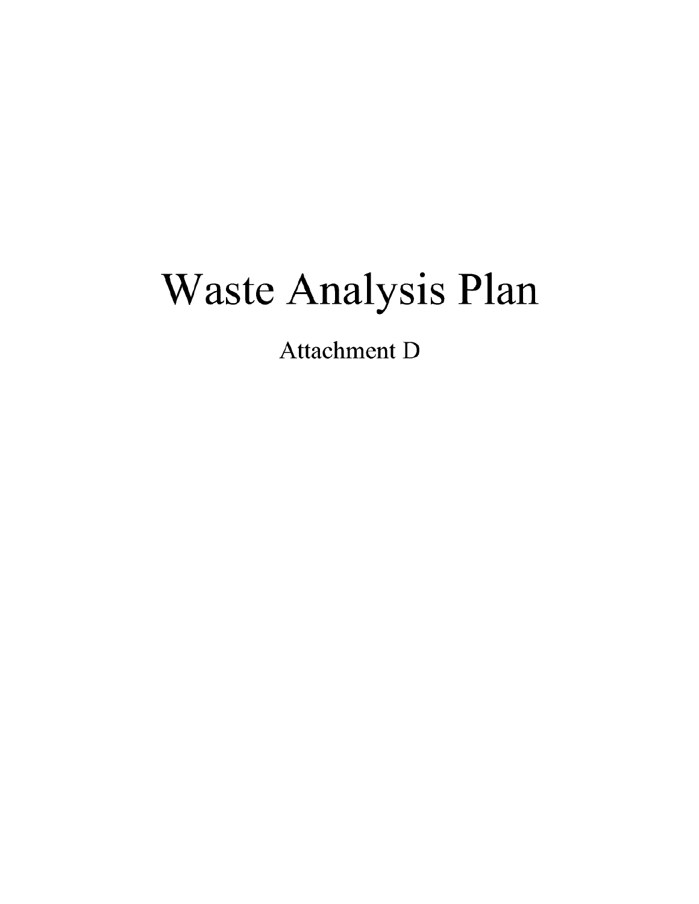# Waste Analysis Plan

**Attachment D**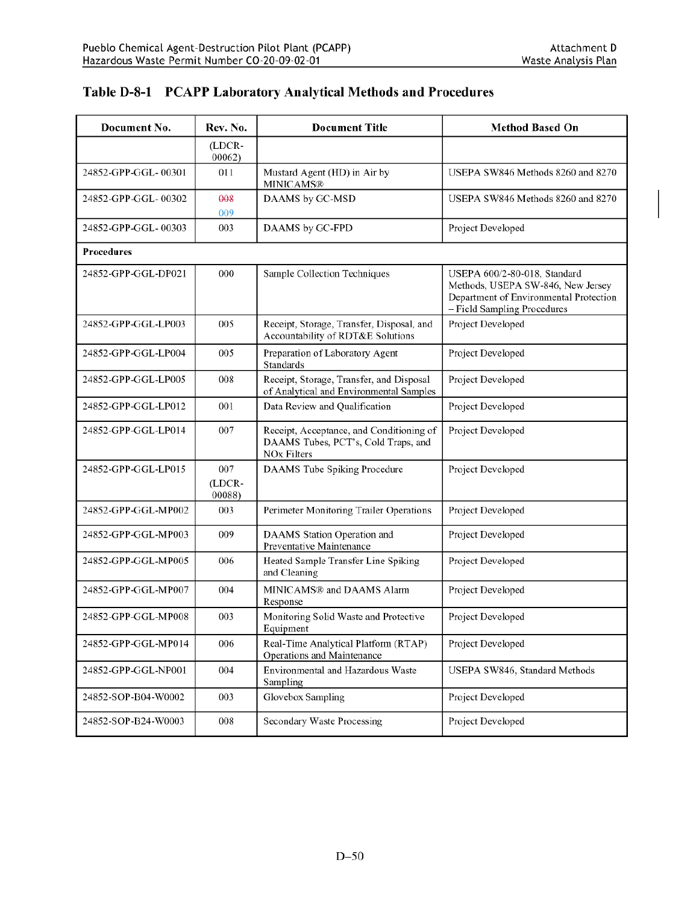| Document No.        | Rev. No.                | <b>Document Title</b>                                                                                 | <b>Method Based On</b>                                                                                                                     |
|---------------------|-------------------------|-------------------------------------------------------------------------------------------------------|--------------------------------------------------------------------------------------------------------------------------------------------|
|                     | (LDCR-<br>00062)        |                                                                                                       |                                                                                                                                            |
| 24852-GPP-GGL-00301 | 011                     | Mustard Agent (HD) in Air by<br><b>MINICAMS®</b>                                                      | USEPA SW846 Methods 8260 and 8270                                                                                                          |
| 24852-GPP-GGL-00302 | 008<br>009              | DAAMS by GC-MSD                                                                                       | USEPA SW846 Methods 8260 and 8270                                                                                                          |
| 24852-GPP-GGL-00303 | 003                     | DAAMS by GC-FPD                                                                                       | Project Developed                                                                                                                          |
| <b>Procedures</b>   |                         |                                                                                                       |                                                                                                                                            |
| 24852-GPP-GGL-DP021 | 000                     | Sample Collection Techniques                                                                          | USEPA 600/2-80-018, Standard<br>Methods, USEPA SW-846, New Jersey<br>Department of Environmental Protection<br>- Field Sampling Procedures |
| 24852-GPP-GGL-LP003 | 005                     | Receipt, Storage, Transfer, Disposal, and<br>Accountability of RDT&E Solutions                        | Project Developed                                                                                                                          |
| 24852-GPP-GGL-LP004 | 005                     | Preparation of Laboratory Agent<br>Standards                                                          | Project Developed                                                                                                                          |
| 24852-GPP-GGL-LP005 | 008                     | Receipt, Storage, Transfer, and Disposal<br>of Analytical and Environmental Samples                   | Project Developed                                                                                                                          |
| 24852-GPP-GGL-LP012 | 001                     | Data Review and Qualification                                                                         | Project Developed                                                                                                                          |
| 24852-GPP-GGL-LP014 | 007                     | Receipt, Acceptance, and Conditioning of<br>DAAMS Tubes, PCT's, Cold Traps, and<br><b>NOx Filters</b> | Project Developed                                                                                                                          |
| 24852-GPP-GGL-LP015 | 007<br>(LDCR-<br>00088) | DAAMS Tube Spiking Procedure                                                                          | Project Developed                                                                                                                          |
| 24852-GPP-GGL-MP002 | 003                     | Perimeter Monitoring Trailer Operations                                                               | Project Developed                                                                                                                          |
| 24852-GPP-GGL-MP003 | 009                     | DAAMS Station Operation and<br>Preventative Maintenance                                               | Project Developed                                                                                                                          |
| 24852-GPP-GGL-MP005 | 006                     | Heated Sample Transfer Line Spiking<br>and Cleaning                                                   | Project Developed                                                                                                                          |
| 24852-GPP-GGL-MP007 | 004                     | MINICAMS® and DAAMS Alarm<br>Response                                                                 | Project Developed                                                                                                                          |
| 24852-GPP-GGL-MP008 | 003                     | Monitoring Solid Waste and Protective<br>Equipment                                                    | Project Developed                                                                                                                          |
| 24852-GPP-GGL-MP014 | 006                     | Real-Time Analytical Platform (RTAP)<br>Operations and Maintenance                                    | Project Developed                                                                                                                          |
| 24852-GPP-GGL-NP001 | 004                     | Environmental and Hazardous Waste<br>Sampling                                                         | USEPA SW846, Standard Methods                                                                                                              |
| 24852-SOP-B04-W0002 | 003                     | Glovebox Sampling                                                                                     | Project Developed                                                                                                                          |
| 24852-SOP-B24-W0003 | 008                     | Secondary Waste Processing                                                                            | Project Developed                                                                                                                          |

# Table D-8-1 PCAPP Laboratory Analytical Methods and Procedures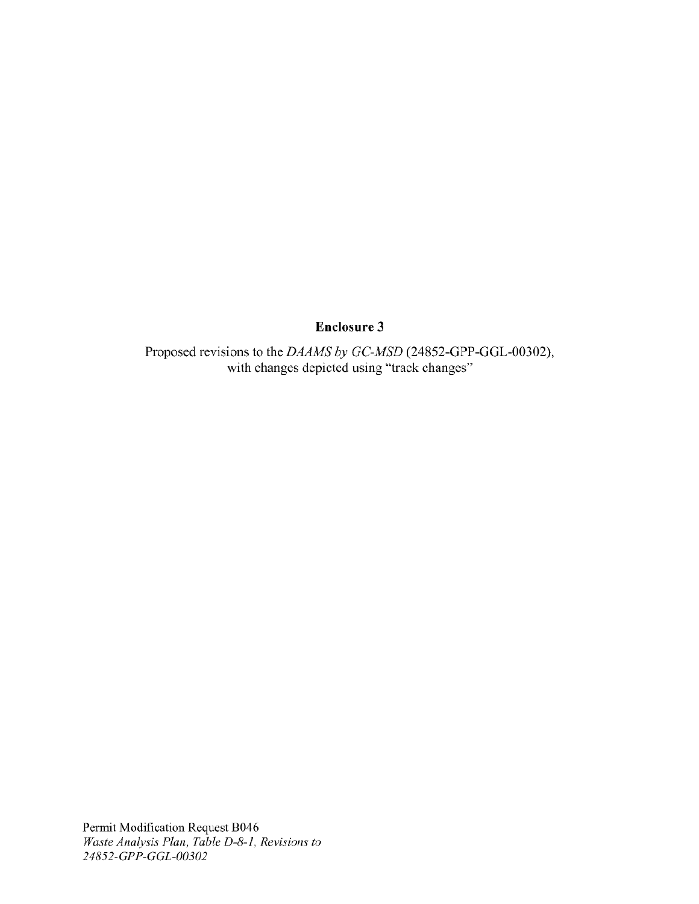## **Enclosure 3**

Proposed revisions to the DAAMS by GC-MSD (24852-GPP-GGL-00302), with changes depicted using "track changes"

Permit Modification Request B046<br>Waste Analysis Plan, Table D-8-1, Revisions to 24852-GPP-GGL-00302